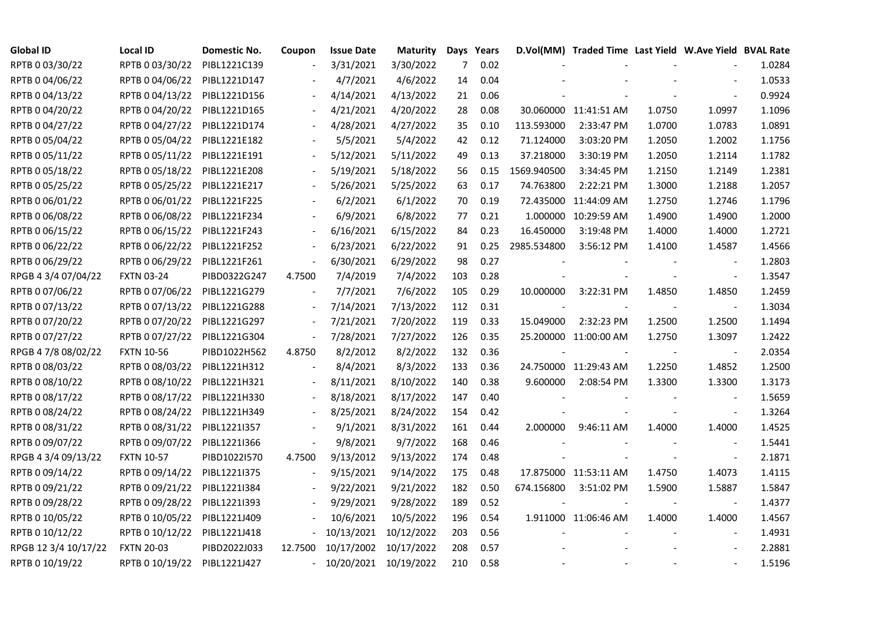| <b>Global ID</b>     | <b>Local ID</b>   | Domestic No. | Coupon                   | <b>Issue Date</b>     | <b>Maturity</b> |                | Days Years |             | D.Vol(MM) Traded Time Last Yield W.Ave Yield BVAL Rate |        |                          |        |
|----------------------|-------------------|--------------|--------------------------|-----------------------|-----------------|----------------|------------|-------------|--------------------------------------------------------|--------|--------------------------|--------|
| RPTB 0 03/30/22      | RPTB 0 03/30/22   | PIBL1221C139 |                          | 3/31/2021             | 3/30/2022       | $\overline{7}$ | 0.02       |             |                                                        |        |                          | 1.0284 |
| RPTB 0 04/06/22      | RPTB 0 04/06/22   | PIBL1221D147 |                          | 4/7/2021              | 4/6/2022        | 14             | 0.04       |             |                                                        |        |                          | 1.0533 |
| RPTB 0 04/13/22      | RPTB 0 04/13/22   | PIBL1221D156 |                          | 4/14/2021             | 4/13/2022       | 21             | 0.06       |             |                                                        |        | $\overline{\phantom{a}}$ | 0.9924 |
| RPTB 0 04/20/22      | RPTB 0 04/20/22   | PIBL1221D165 | $\overline{\phantom{a}}$ | 4/21/2021             | 4/20/2022       | 28             | 0.08       |             | 30.060000 11:41:51 AM                                  | 1.0750 | 1.0997                   | 1.1096 |
| RPTB 0 04/27/22      | RPTB 0 04/27/22   | PIBL1221D174 |                          | 4/28/2021             | 4/27/2022       | 35             | 0.10       | 113.593000  | 2:33:47 PM                                             | 1.0700 | 1.0783                   | 1.0891 |
| RPTB 0 05/04/22      | RPTB 0 05/04/22   | PIBL1221E182 |                          | 5/5/2021              | 5/4/2022        | 42             | 0.12       | 71.124000   | 3:03:20 PM                                             | 1.2050 | 1.2002                   | 1.1756 |
| RPTB 0 05/11/22      | RPTB 0 05/11/22   | PIBL1221E191 |                          | 5/12/2021             | 5/11/2022       | 49             | 0.13       | 37.218000   | 3:30:19 PM                                             | 1.2050 | 1.2114                   | 1.1782 |
| RPTB 0 05/18/22      | RPTB 0 05/18/22   | PIBL1221E208 |                          | 5/19/2021             | 5/18/2022       | 56             | 0.15       | 1569.940500 | 3:34:45 PM                                             | 1.2150 | 1.2149                   | 1.2381 |
| RPTB 0 05/25/22      | RPTB 0 05/25/22   | PIBL1221E217 |                          | 5/26/2021             | 5/25/2022       | 63             | 0.17       | 74.763800   | 2:22:21 PM                                             | 1.3000 | 1.2188                   | 1.2057 |
| RPTB 0 06/01/22      | RPTB 0 06/01/22   | PIBL1221F225 |                          | 6/2/2021              | 6/1/2022        | 70             | 0.19       |             | 72.435000 11:44:09 AM                                  | 1.2750 | 1.2746                   | 1.1796 |
| RPTB 0 06/08/22      | RPTB 0 06/08/22   | PIBL1221F234 | $\overline{\phantom{a}}$ | 6/9/2021              | 6/8/2022        | 77             | 0.21       |             | 1.000000 10:29:59 AM                                   | 1.4900 | 1.4900                   | 1.2000 |
| RPTB 0 06/15/22      | RPTB 0 06/15/22   | PIBL1221F243 | $\overline{\phantom{a}}$ | 6/16/2021             | 6/15/2022       | 84             | 0.23       | 16.450000   | 3:19:48 PM                                             | 1.4000 | 1.4000                   | 1.2721 |
| RPTB 0 06/22/22      | RPTB 0 06/22/22   | PIBL1221F252 | $\frac{1}{2}$            | 6/23/2021             | 6/22/2022       | 91             | 0.25       | 2985.534800 | 3:56:12 PM                                             | 1.4100 | 1.4587                   | 1.4566 |
| RPTB 0 06/29/22      | RPTB 0 06/29/22   | PIBL1221F261 | $\overline{\phantom{a}}$ | 6/30/2021             | 6/29/2022       | 98             | 0.27       |             |                                                        |        | $\blacksquare$           | 1.2803 |
| RPGB 4 3/4 07/04/22  | <b>FXTN 03-24</b> | PIBD0322G247 | 4.7500                   | 7/4/2019              | 7/4/2022        | 103            | 0.28       |             |                                                        |        | $\blacksquare$           | 1.3547 |
| RPTB 0 07/06/22      | RPTB 0 07/06/22   | PIBL1221G279 |                          | 7/7/2021              | 7/6/2022        | 105            | 0.29       | 10.000000   | 3:22:31 PM                                             | 1.4850 | 1.4850                   | 1.2459 |
| RPTB 0 07/13/22      | RPTB 0 07/13/22   | PIBL1221G288 |                          | 7/14/2021             | 7/13/2022       | 112            | 0.31       |             |                                                        |        |                          | 1.3034 |
| RPTB 0 07/20/22      | RPTB 0 07/20/22   | PIBL1221G297 | $\blacksquare$           | 7/21/2021             | 7/20/2022       | 119            | 0.33       | 15.049000   | 2:32:23 PM                                             | 1.2500 | 1.2500                   | 1.1494 |
| RPTB 0 07/27/22      | RPTB 0 07/27/22   | PIBL1221G304 | $\blacksquare$           | 7/28/2021             | 7/27/2022       | 126            | 0.35       |             | 25.200000 11:00:00 AM                                  | 1.2750 | 1.3097                   | 1.2422 |
| RPGB 4 7/8 08/02/22  | <b>FXTN 10-56</b> | PIBD1022H562 | 4.8750                   | 8/2/2012              | 8/2/2022        | 132            | 0.36       |             |                                                        |        |                          | 2.0354 |
| RPTB 0 08/03/22      | RPTB 0 08/03/22   | PIBL1221H312 |                          | 8/4/2021              | 8/3/2022        | 133            | 0.36       |             | 24.750000 11:29:43 AM                                  | 1.2250 | 1.4852                   | 1.2500 |
| RPTB 0 08/10/22      | RPTB 0 08/10/22   | PIBL1221H321 |                          | 8/11/2021             | 8/10/2022       | 140            | 0.38       | 9.600000    | 2:08:54 PM                                             | 1.3300 | 1.3300                   | 1.3173 |
| RPTB 0 08/17/22      | RPTB 0 08/17/22   | PIBL1221H330 |                          | 8/18/2021             | 8/17/2022       | 147            | 0.40       |             |                                                        |        |                          | 1.5659 |
| RPTB 0 08/24/22      | RPTB 0 08/24/22   | PIBL1221H349 | $\overline{\phantom{a}}$ | 8/25/2021             | 8/24/2022       | 154            | 0.42       |             |                                                        |        | $\overline{\phantom{a}}$ | 1.3264 |
| RPTB 0 08/31/22      | RPTB 0 08/31/22   | PIBL1221I357 | $\overline{\phantom{a}}$ | 9/1/2021              | 8/31/2022       | 161            | 0.44       | 2.000000    | 9:46:11 AM                                             | 1.4000 | 1.4000                   | 1.4525 |
| RPTB 0 09/07/22      | RPTB 0 09/07/22   | PIBL1221I366 | $\overline{\phantom{a}}$ | 9/8/2021              | 9/7/2022        | 168            | 0.46       |             |                                                        |        |                          | 1.5441 |
| RPGB 4 3/4 09/13/22  | <b>FXTN 10-57</b> | PIBD1022I570 | 4.7500                   | 9/13/2012             | 9/13/2022       | 174            | 0.48       |             |                                                        |        | $\overline{\phantom{a}}$ | 2.1871 |
| RPTB 0 09/14/22      | RPTB 0 09/14/22   | PIBL1221I375 | $\overline{\phantom{a}}$ | 9/15/2021             | 9/14/2022       | 175            | 0.48       |             | 17.875000 11:53:11 AM                                  | 1.4750 | 1.4073                   | 1.4115 |
| RPTB 0 09/21/22      | RPTB 0 09/21/22   | PIBL1221I384 |                          | 9/22/2021             | 9/21/2022       | 182            | 0.50       | 674.156800  | 3:51:02 PM                                             | 1.5900 | 1.5887                   | 1.5847 |
| RPTB 0 09/28/22      | RPTB 0 09/28/22   | PIBL1221I393 |                          | 9/29/2021             | 9/28/2022       | 189            | 0.52       |             |                                                        |        |                          | 1.4377 |
| RPTB 0 10/05/22      | RPTB 0 10/05/22   | PIBL1221J409 |                          | 10/6/2021             | 10/5/2022       | 196            | 0.54       |             | 1.911000 11:06:46 AM                                   | 1.4000 | 1.4000                   | 1.4567 |
| RPTB 0 10/12/22      | RPTB 0 10/12/22   | PIBL1221J418 |                          | 10/13/2021            | 10/12/2022      | 203            | 0.56       |             |                                                        |        | $\overline{\phantom{a}}$ | 1.4931 |
| RPGB 12 3/4 10/17/22 | <b>FXTN 20-03</b> | PIBD2022J033 | 12.7500                  | 10/17/2002            | 10/17/2022      | 208            | 0.57       |             |                                                        |        |                          | 2.2881 |
| RPTB 0 10/19/22      | RPTB 0 10/19/22   | PIBL1221J427 | $\sim$                   | 10/20/2021 10/19/2022 |                 | 210            | 0.58       |             |                                                        |        |                          | 1.5196 |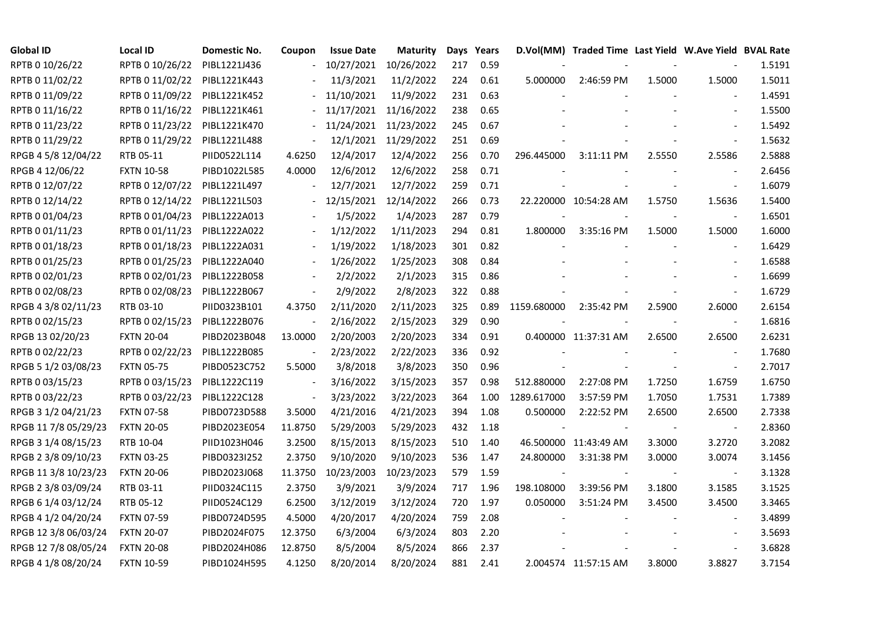| <b>Global ID</b>     | <b>Local ID</b>   | Domestic No. | Coupon                   | <b>Issue Date</b> | Maturity             |     | Days Years |             | D.Vol(MM) Traded Time Last Yield W.Ave Yield BVAL Rate |        |                          |        |
|----------------------|-------------------|--------------|--------------------------|-------------------|----------------------|-----|------------|-------------|--------------------------------------------------------|--------|--------------------------|--------|
| RPTB 0 10/26/22      | RPTB 0 10/26/22   | PIBL1221J436 |                          | 10/27/2021        | 10/26/2022           | 217 | 0.59       |             |                                                        |        |                          | 1.5191 |
| RPTB 0 11/02/22      | RPTB 0 11/02/22   | PIBL1221K443 |                          | 11/3/2021         | 11/2/2022            | 224 | 0.61       | 5.000000    | 2:46:59 PM                                             | 1.5000 | 1.5000                   | 1.5011 |
| RPTB 0 11/09/22      | RPTB 0 11/09/22   | PIBL1221K452 |                          | 11/10/2021        | 11/9/2022            | 231 | 0.63       |             |                                                        |        |                          | 1.4591 |
| RPTB 0 11/16/22      | RPTB 0 11/16/22   | PIBL1221K461 |                          | 11/17/2021        | 11/16/2022           | 238 | 0.65       |             |                                                        |        | $\sim$                   | 1.5500 |
| RPTB 0 11/23/22      | RPTB 0 11/23/22   | PIBL1221K470 | $\blacksquare$           | 11/24/2021        | 11/23/2022           | 245 | 0.67       |             |                                                        |        |                          | 1.5492 |
| RPTB 0 11/29/22      | RPTB 0 11/29/22   | PIBL1221L488 |                          |                   | 12/1/2021 11/29/2022 | 251 | 0.69       |             |                                                        |        | $\Box$                   | 1.5632 |
| RPGB 4 5/8 12/04/22  | RTB 05-11         | PIID0522L114 | 4.6250                   | 12/4/2017         | 12/4/2022            | 256 | 0.70       | 296.445000  | 3:11:11 PM                                             | 2.5550 | 2.5586                   | 2.5888 |
| RPGB 4 12/06/22      | <b>FXTN 10-58</b> | PIBD1022L585 | 4.0000                   | 12/6/2012         | 12/6/2022            | 258 | 0.71       |             |                                                        |        | $\overline{\phantom{a}}$ | 2.6456 |
| RPTB 0 12/07/22      | RPTB 0 12/07/22   | PIBL1221L497 |                          | 12/7/2021         | 12/7/2022            | 259 | 0.71       |             |                                                        |        |                          | 1.6079 |
| RPTB 0 12/14/22      | RPTB 0 12/14/22   | PIBL1221L503 |                          | 12/15/2021        | 12/14/2022           | 266 | 0.73       |             | 22.220000 10:54:28 AM                                  | 1.5750 | 1.5636                   | 1.5400 |
| RPTB 0 01/04/23      | RPTB 0 01/04/23   | PIBL1222A013 |                          | 1/5/2022          | 1/4/2023             | 287 | 0.79       |             |                                                        |        | $\blacksquare$           | 1.6501 |
| RPTB 0 01/11/23      | RPTB 0 01/11/23   | PIBL1222A022 |                          | 1/12/2022         | 1/11/2023            | 294 | 0.81       | 1.800000    | 3:35:16 PM                                             | 1.5000 | 1.5000                   | 1.6000 |
| RPTB 0 01/18/23      | RPTB 0 01/18/23   | PIBL1222A031 |                          | 1/19/2022         | 1/18/2023            | 301 | 0.82       |             |                                                        |        | $\blacksquare$           | 1.6429 |
| RPTB 0 01/25/23      | RPTB 0 01/25/23   | PIBL1222A040 | $\blacksquare$           | 1/26/2022         | 1/25/2023            | 308 | 0.84       |             |                                                        |        | $\blacksquare$           | 1.6588 |
| RPTB 0 02/01/23      | RPTB 0 02/01/23   | PIBL1222B058 |                          | 2/2/2022          | 2/1/2023             | 315 | 0.86       |             |                                                        |        | $\blacksquare$           | 1.6699 |
| RPTB 0 02/08/23      | RPTB 0 02/08/23   | PIBL1222B067 |                          | 2/9/2022          | 2/8/2023             | 322 | 0.88       |             |                                                        |        |                          | 1.6729 |
| RPGB 4 3/8 02/11/23  | RTB 03-10         | PIID0323B101 | 4.3750                   | 2/11/2020         | 2/11/2023            | 325 | 0.89       | 1159.680000 | 2:35:42 PM                                             | 2.5900 | 2.6000                   | 2.6154 |
| RPTB 0 02/15/23      | RPTB 0 02/15/23   | PIBL1222B076 | $\overline{\phantom{a}}$ | 2/16/2022         | 2/15/2023            | 329 | 0.90       |             |                                                        |        | $\blacksquare$           | 1.6816 |
| RPGB 13 02/20/23     | <b>FXTN 20-04</b> | PIBD2023B048 | 13.0000                  | 2/20/2003         | 2/20/2023            | 334 | 0.91       |             | 0.400000 11:37:31 AM                                   | 2.6500 | 2.6500                   | 2.6231 |
| RPTB 0 02/22/23      | RPTB 0 02/22/23   | PIBL1222B085 | $\blacksquare$           | 2/23/2022         | 2/22/2023            | 336 | 0.92       |             |                                                        |        | $\blacksquare$           | 1.7680 |
| RPGB 5 1/2 03/08/23  | <b>FXTN 05-75</b> | PIBD0523C752 | 5.5000                   | 3/8/2018          | 3/8/2023             | 350 | 0.96       |             |                                                        |        | $\blacksquare$           | 2.7017 |
| RPTB 0 03/15/23      | RPTB 0 03/15/23   | PIBL1222C119 | $\blacksquare$           | 3/16/2022         | 3/15/2023            | 357 | 0.98       | 512.880000  | 2:27:08 PM                                             | 1.7250 | 1.6759                   | 1.6750 |
| RPTB 0 03/22/23      | RPTB 0 03/22/23   | PIBL1222C128 | $\overline{a}$           | 3/23/2022         | 3/22/2023            | 364 | 1.00       | 1289.617000 | 3:57:59 PM                                             | 1.7050 | 1.7531                   | 1.7389 |
| RPGB 3 1/2 04/21/23  | <b>FXTN 07-58</b> | PIBD0723D588 | 3.5000                   | 4/21/2016         | 4/21/2023            | 394 | 1.08       | 0.500000    | 2:22:52 PM                                             | 2.6500 | 2.6500                   | 2.7338 |
| RPGB 11 7/8 05/29/23 | <b>FXTN 20-05</b> | PIBD2023E054 | 11.8750                  | 5/29/2003         | 5/29/2023            | 432 | 1.18       |             |                                                        |        |                          | 2.8360 |
| RPGB 3 1/4 08/15/23  | RTB 10-04         | PIID1023H046 | 3.2500                   | 8/15/2013         | 8/15/2023            | 510 | 1.40       |             | 46.500000 11:43:49 AM                                  | 3.3000 | 3.2720                   | 3.2082 |
| RPGB 2 3/8 09/10/23  | <b>FXTN 03-25</b> | PIBD0323I252 | 2.3750                   | 9/10/2020         | 9/10/2023            | 536 | 1.47       | 24.800000   | 3:31:38 PM                                             | 3.0000 | 3.0074                   | 3.1456 |
| RPGB 11 3/8 10/23/23 | <b>FXTN 20-06</b> | PIBD2023J068 | 11.3750                  | 10/23/2003        | 10/23/2023           | 579 | 1.59       |             |                                                        |        | $\blacksquare$           | 3.1328 |
| RPGB 2 3/8 03/09/24  | RTB 03-11         | PIID0324C115 | 2.3750                   | 3/9/2021          | 3/9/2024             | 717 | 1.96       | 198.108000  | 3:39:56 PM                                             | 3.1800 | 3.1585                   | 3.1525 |
| RPGB 6 1/4 03/12/24  | RTB 05-12         | PIID0524C129 | 6.2500                   | 3/12/2019         | 3/12/2024            | 720 | 1.97       | 0.050000    | 3:51:24 PM                                             | 3.4500 | 3.4500                   | 3.3465 |
| RPGB 4 1/2 04/20/24  | <b>FXTN 07-59</b> | PIBD0724D595 | 4.5000                   | 4/20/2017         | 4/20/2024            | 759 | 2.08       |             |                                                        |        |                          | 3.4899 |
| RPGB 12 3/8 06/03/24 | <b>FXTN 20-07</b> | PIBD2024F075 | 12.3750                  | 6/3/2004          | 6/3/2024             | 803 | 2.20       |             |                                                        |        | $\blacksquare$           | 3.5693 |
| RPGB 12 7/8 08/05/24 | <b>FXTN 20-08</b> | PIBD2024H086 | 12.8750                  | 8/5/2004          | 8/5/2024             | 866 | 2.37       |             |                                                        |        |                          | 3.6828 |
| RPGB 4 1/8 08/20/24  | <b>FXTN 10-59</b> | PIBD1024H595 | 4.1250                   | 8/20/2014         | 8/20/2024            | 881 | 2.41       |             | 2.004574 11:57:15 AM                                   | 3.8000 | 3.8827                   | 3.7154 |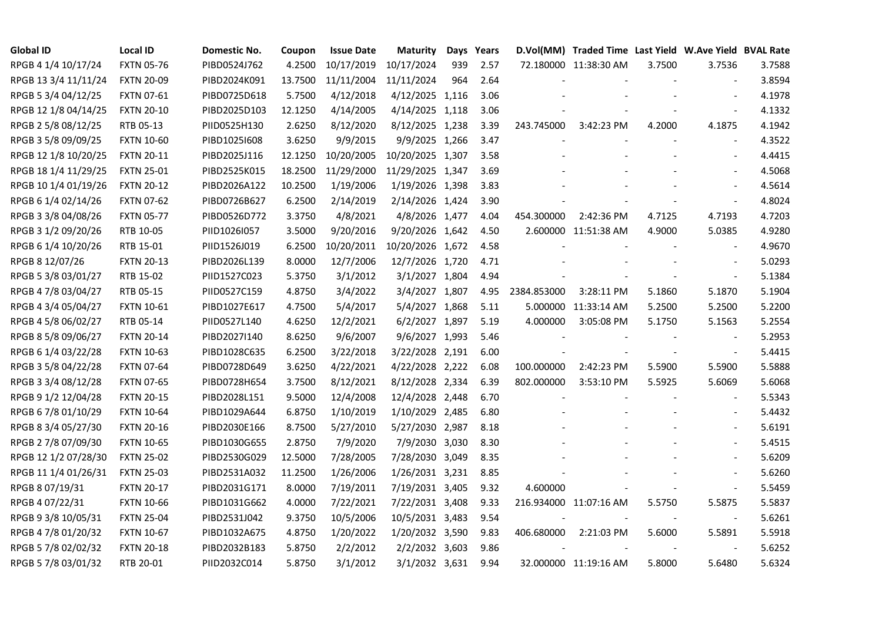| <b>Global ID</b>     | <b>Local ID</b>   | Domestic No. | Coupon  | <b>Issue Date</b> | <b>Maturity</b>  |     | Days Years |             | D.Vol(MM) Traded Time Last Yield W.Ave Yield BVAL Rate |        |                          |        |
|----------------------|-------------------|--------------|---------|-------------------|------------------|-----|------------|-------------|--------------------------------------------------------|--------|--------------------------|--------|
| RPGB 4 1/4 10/17/24  | <b>FXTN 05-76</b> | PIBD0524J762 | 4.2500  | 10/17/2019        | 10/17/2024       | 939 | 2.57       |             | 72.180000 11:38:30 AM                                  | 3.7500 | 3.7536                   | 3.7588 |
| RPGB 13 3/4 11/11/24 | <b>FXTN 20-09</b> | PIBD2024K091 | 13.7500 | 11/11/2004        | 11/11/2024       | 964 | 2.64       |             |                                                        |        |                          | 3.8594 |
| RPGB 5 3/4 04/12/25  | <b>FXTN 07-61</b> | PIBD0725D618 | 5.7500  | 4/12/2018         | 4/12/2025 1,116  |     | 3.06       |             |                                                        |        | $\blacksquare$           | 4.1978 |
| RPGB 12 1/8 04/14/25 | <b>FXTN 20-10</b> | PIBD2025D103 | 12.1250 | 4/14/2005         | 4/14/2025 1,118  |     | 3.06       |             |                                                        |        | $\blacksquare$           | 4.1332 |
| RPGB 2 5/8 08/12/25  | RTB 05-13         | PIID0525H130 | 2.6250  | 8/12/2020         | 8/12/2025 1,238  |     | 3.39       | 243.745000  | 3:42:23 PM                                             | 4.2000 | 4.1875                   | 4.1942 |
| RPGB 3 5/8 09/09/25  | <b>FXTN 10-60</b> | PIBD10251608 | 3.6250  | 9/9/2015          | 9/9/2025 1,266   |     | 3.47       |             |                                                        |        | $\blacksquare$           | 4.3522 |
| RPGB 12 1/8 10/20/25 | <b>FXTN 20-11</b> | PIBD2025J116 | 12.1250 | 10/20/2005        | 10/20/2025 1,307 |     | 3.58       |             |                                                        |        | $\overline{\phantom{a}}$ | 4.4415 |
| RPGB 18 1/4 11/29/25 | <b>FXTN 25-01</b> | PIBD2525K015 | 18.2500 | 11/29/2000        | 11/29/2025 1,347 |     | 3.69       |             |                                                        |        |                          | 4.5068 |
| RPGB 10 1/4 01/19/26 | <b>FXTN 20-12</b> | PIBD2026A122 | 10.2500 | 1/19/2006         | 1/19/2026 1,398  |     | 3.83       |             |                                                        |        |                          | 4.5614 |
| RPGB 6 1/4 02/14/26  | <b>FXTN 07-62</b> | PIBD0726B627 | 6.2500  | 2/14/2019         | 2/14/2026 1,424  |     | 3.90       |             |                                                        |        | $\frac{1}{2}$            | 4.8024 |
| RPGB 3 3/8 04/08/26  | <b>FXTN 05-77</b> | PIBD0526D772 | 3.3750  | 4/8/2021          | 4/8/2026 1,477   |     | 4.04       | 454.300000  | 2:42:36 PM                                             | 4.7125 | 4.7193                   | 4.7203 |
| RPGB 3 1/2 09/20/26  | RTB 10-05         | PIID1026I057 | 3.5000  | 9/20/2016         | 9/20/2026 1,642  |     | 4.50       |             | 2.600000 11:51:38 AM                                   | 4.9000 | 5.0385                   | 4.9280 |
| RPGB 6 1/4 10/20/26  | RTB 15-01         | PIID1526J019 | 6.2500  | 10/20/2011        | 10/20/2026 1,672 |     | 4.58       |             |                                                        |        | $\overline{\phantom{a}}$ | 4.9670 |
| RPGB 8 12/07/26      | <b>FXTN 20-13</b> | PIBD2026L139 | 8.0000  | 12/7/2006         | 12/7/2026 1,720  |     | 4.71       |             |                                                        |        | $\blacksquare$           | 5.0293 |
| RPGB 5 3/8 03/01/27  | RTB 15-02         | PIID1527C023 | 5.3750  | 3/1/2012          | 3/1/2027 1,804   |     | 4.94       |             |                                                        |        | $\overline{\phantom{a}}$ | 5.1384 |
| RPGB 4 7/8 03/04/27  | RTB 05-15         | PIID0527C159 | 4.8750  | 3/4/2022          | 3/4/2027 1,807   |     | 4.95       | 2384.853000 | 3:28:11 PM                                             | 5.1860 | 5.1870                   | 5.1904 |
| RPGB 4 3/4 05/04/27  | <b>FXTN 10-61</b> | PIBD1027E617 | 4.7500  | 5/4/2017          | 5/4/2027 1,868   |     | 5.11       |             | 5.000000 11:33:14 AM                                   | 5.2500 | 5.2500                   | 5.2200 |
| RPGB 4 5/8 06/02/27  | RTB 05-14         | PIID0527L140 | 4.6250  | 12/2/2021         | 6/2/2027 1,897   |     | 5.19       | 4.000000    | 3:05:08 PM                                             | 5.1750 | 5.1563                   | 5.2554 |
| RPGB 8 5/8 09/06/27  | <b>FXTN 20-14</b> | PIBD2027I140 | 8.6250  | 9/6/2007          | 9/6/2027 1,993   |     | 5.46       |             |                                                        |        | $\sim$                   | 5.2953 |
| RPGB 6 1/4 03/22/28  | <b>FXTN 10-63</b> | PIBD1028C635 | 6.2500  | 3/22/2018         | 3/22/2028 2,191  |     | 6.00       |             |                                                        |        | $\sim$                   | 5.4415 |
| RPGB 3 5/8 04/22/28  | <b>FXTN 07-64</b> | PIBD0728D649 | 3.6250  | 4/22/2021         | 4/22/2028 2,222  |     | 6.08       | 100.000000  | 2:42:23 PM                                             | 5.5900 | 5.5900                   | 5.5888 |
| RPGB 3 3/4 08/12/28  | <b>FXTN 07-65</b> | PIBD0728H654 | 3.7500  | 8/12/2021         | 8/12/2028 2,334  |     | 6.39       | 802.000000  | 3:53:10 PM                                             | 5.5925 | 5.6069                   | 5.6068 |
| RPGB 9 1/2 12/04/28  | <b>FXTN 20-15</b> | PIBD2028L151 | 9.5000  | 12/4/2008         | 12/4/2028 2,448  |     | 6.70       |             |                                                        |        |                          | 5.5343 |
| RPGB 67/8 01/10/29   | <b>FXTN 10-64</b> | PIBD1029A644 | 6.8750  | 1/10/2019         | 1/10/2029 2,485  |     | 6.80       |             |                                                        |        |                          | 5.4432 |
| RPGB 8 3/4 05/27/30  | <b>FXTN 20-16</b> | PIBD2030E166 | 8.7500  | 5/27/2010         | 5/27/2030 2,987  |     | 8.18       |             |                                                        |        | $\overline{\phantom{a}}$ | 5.6191 |
| RPGB 2 7/8 07/09/30  | <b>FXTN 10-65</b> | PIBD1030G655 | 2.8750  | 7/9/2020          | 7/9/2030 3,030   |     | 8.30       |             |                                                        |        |                          | 5.4515 |
| RPGB 12 1/2 07/28/30 | <b>FXTN 25-02</b> | PIBD2530G029 | 12.5000 | 7/28/2005         | 7/28/2030 3,049  |     | 8.35       |             |                                                        |        | $\overline{\phantom{a}}$ | 5.6209 |
| RPGB 11 1/4 01/26/31 | <b>FXTN 25-03</b> | PIBD2531A032 | 11.2500 | 1/26/2006         | 1/26/2031 3,231  |     | 8.85       |             |                                                        |        | $\sim$                   | 5.6260 |
| RPGB 8 07/19/31      | <b>FXTN 20-17</b> | PIBD2031G171 | 8.0000  | 7/19/2011         | 7/19/2031 3,405  |     | 9.32       | 4.600000    |                                                        |        | $\sim$                   | 5.5459 |
| RPGB 4 07/22/31      | <b>FXTN 10-66</b> | PIBD1031G662 | 4.0000  | 7/22/2021         | 7/22/2031 3,408  |     | 9.33       |             | 216.934000 11:07:16 AM                                 | 5.5750 | 5.5875                   | 5.5837 |
| RPGB 9 3/8 10/05/31  | <b>FXTN 25-04</b> | PIBD2531J042 | 9.3750  | 10/5/2006         | 10/5/2031 3,483  |     | 9.54       |             |                                                        |        | $\overline{\phantom{a}}$ | 5.6261 |
| RPGB 4 7/8 01/20/32  | <b>FXTN 10-67</b> | PIBD1032A675 | 4.8750  | 1/20/2022         | 1/20/2032 3,590  |     | 9.83       | 406.680000  | 2:21:03 PM                                             | 5.6000 | 5.5891                   | 5.5918 |
| RPGB 5 7/8 02/02/32  | <b>FXTN 20-18</b> | PIBD2032B183 | 5.8750  | 2/2/2012          | 2/2/2032 3,603   |     | 9.86       |             |                                                        |        | $\blacksquare$           | 5.6252 |
| RPGB 5 7/8 03/01/32  | RTB 20-01         | PIID2032C014 | 5.8750  | 3/1/2012          | 3/1/2032 3,631   |     | 9.94       |             | 32.000000 11:19:16 AM                                  | 5.8000 | 5.6480                   | 5.6324 |